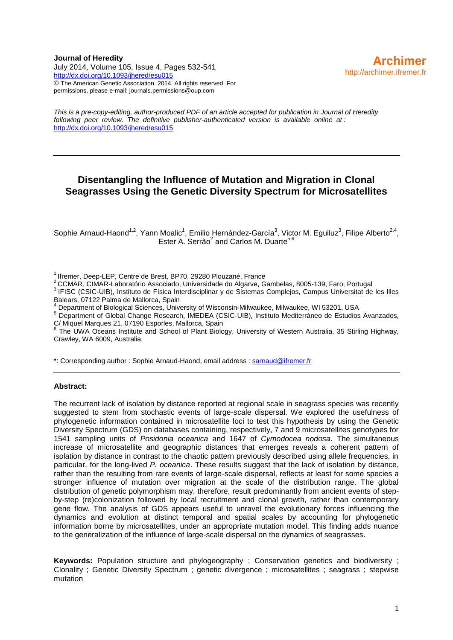**Journal of Heredity** July 2014, Volume 105, Issue 4, Pages 532-541 <http://dx.doi.org/10.1093/jhered/esu015> © The American Genetic Association. 2014. All rights reserved. For permissions, please e-mail: journals.permissions@oup.com

*This is a pre-copy-editing, author-produced PDF of an article accepted for publication in Journal of Heredity following peer review. The definitive publisher-authenticated version is available online at :* <http://dx.doi.org/10.1093/jhered/esu015>

# **Disentangling the Influence of Mutation and Migration in Clonal Seagrasses Using the Genetic Diversity Spectrum for Microsatellites**

Sophie Arnaud-Haond<sup>1,2</sup>, Yann Moalic<sup>1</sup>, Emilio Hernández-García<sup>3</sup>, Victor M. Eguiluz<sup>3</sup>, Filipe Alberto<sup>2,4</sup>, Ester A. Serrão<sup>2</sup> and Carlos M. Duarte<sup>5,6</sup>

 $1$ Ifremer, Deep-LEP, Centre de Brest, BP70, 29280 Plouzané, France

<sup>2</sup>CCMAR, CIMAR-Laboratório Associado, Universidade do Algarve, Gambelas, 8005-139, Faro, Portugal

<sup>3</sup> IFISC (CSIC-UIB), Instituto de Física Interdisciplinar y de Sistemas Complejos, Campus Universitat de les Illes Balears, 07122 Palma de Mallorca, Spain

4 Department of Biological Sciences, University of Wisconsin-Milwaukee, Milwaukee, WI 53201, USA

<sup>5</sup> Department of Global Change Research, IMEDEA (CSIC-UIB), Instituto Mediterráneo de Estudios Avanzados, C/ Miquel Marques 21, 07190 Esporles, Mallorca, Spain<br><sup>6</sup> The LIV(A Oseans Ipstitute and Sebeel of Plant Biele

 The UWA Oceans Institute and School of Plant Biology, University of Western Australia, 35 Stirling Highway, Crawley, WA 6009, Australia.

\*: Corresponding author : Sophie Arnaud-Haond, email address : [sarnaud@ifremer.fr](mailto:sarnaud@ifremer.fr)

#### **Abstract:**

The recurrent lack of isolation by distance reported at regional scale in seagrass species was recently suggested to stem from stochastic events of large-scale dispersal. We explored the usefulness of phylogenetic information contained in microsatellite loci to test this hypothesis by using the Genetic Diversity Spectrum (GDS) on databases containing, respectively, 7 and 9 microsatellites genotypes for 1541 sampling units of *Posidonia oceanica* and 1647 of *Cymodocea nodosa*. The simultaneous increase of microsatellite and geographic distances that emerges reveals a coherent pattern of isolation by distance in contrast to the chaotic pattern previously described using allele frequencies, in particular, for the long-lived *P. oceanica*. These results suggest that the lack of isolation by distance, rather than the resulting from rare events of large-scale dispersal, reflects at least for some species a stronger influence of mutation over migration at the scale of the distribution range. The global distribution of genetic polymorphism may, therefore, result predominantly from ancient events of stepby-step (re)colonization followed by local recruitment and clonal growth, rather than contemporary gene flow. The analysis of GDS appears useful to unravel the evolutionary forces influencing the dynamics and evolution at distinct temporal and spatial scales by accounting for phylogenetic information borne by microsatellites, under an appropriate mutation model. This finding adds nuance to the generalization of the influence of large-scale dispersal on the dynamics of seagrasses.

**Keywords:** Population structure and phylogeography ; Conservation genetics and biodiversity ; Clonality ; Genetic Diversity Spectrum ; genetic divergence ; microsatellites ; seagrass ; stepwise mutation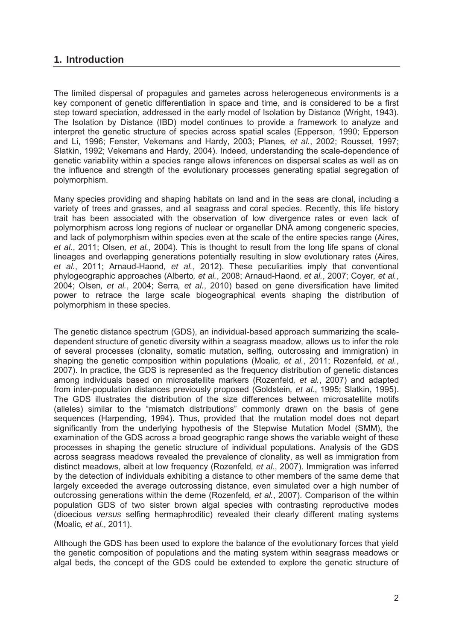# 1. Introduction

The limited dispersal of propagules and gametes across heterogeneous environments is a key component of genetic differentiation in space and time, and is considered to be a first step toward speciation, addressed in the early model of Isolation by Distance (Wright, 1943). The Isolation by Distance (IBD) model continues to provide a framework to analyze and interpret the genetic structure of species across spatial scales (Epperson, 1990; Epperson and Li, 1996; Fenster, Vekemans and Hardy, 2003; Planes, et al., 2002; Rousset, 1997; Slatkin, 1992; Vekemans and Hardy, 2004). Indeed, understanding the scale-dependence of genetic variability within a species range allows inferences on dispersal scales as well as on the influence and strength of the evolutionary processes generating spatial segregation of polymorphism.

Many species providing and shaping habitats on land and in the seas are clonal, including a variety of trees and grasses, and all seagrass and coral species. Recently, this life history trait has been associated with the observation of low divergence rates or even lack of polymorphism across long regions of nuclear or organellar DNA among congeneric species, and lack of polymorphism within species even at the scale of the entire species range (Aires, et al., 2011; Olsen, et al., 2004). This is thought to result from the long life spans of clonal lineages and overlapping generations potentially resulting in slow evolutionary rates (Aires, et al., 2011: Arnaud-Haond, et al., 2012). These peculiarities imply that conventional phylogeographic approaches (Alberto, et al., 2008; Arnaud-Haond, et al., 2007; Coyer, et al., 2004: Olsen, et al., 2004: Serra, et al., 2010) based on gene diversification have limited power to retrace the large scale biogeographical events shaping the distribution of polymorphism in these species.

The genetic distance spectrum (GDS), an individual-based approach summarizing the scaledependent structure of genetic diversity within a seagrass meadow, allows us to infer the role of several processes (clonality, somatic mutation, selfing, outcrossing and immigration) in shaping the genetic composition within populations (Moalic, et al., 2011; Rozenfeld, et al., 2007). In practice, the GDS is represented as the frequency distribution of genetic distances among individuals based on microsatellite markers (Rozenfeld, et al., 2007) and adapted from inter-population distances previously proposed (Goldstein, et al., 1995; Slatkin, 1995). The GDS illustrates the distribution of the size differences between microsatellite motifs (alleles) similar to the "mismatch distributions" commonly drawn on the basis of gene sequences (Harpending, 1994). Thus, provided that the mutation model does not depart significantly from the underlying hypothesis of the Stepwise Mutation Model (SMM), the examination of the GDS across a broad geographic range shows the variable weight of these processes in shaping the genetic structure of individual populations. Analysis of the GDS across seagrass meadows revealed the prevalence of clonality, as well as immigration from distinct meadows, albeit at low frequency (Rozenfeld, et al., 2007). Immigration was inferred by the detection of individuals exhibiting a distance to other members of the same deme that largely exceeded the average outcrossing distance, even simulated over a high number of outcrossing generations within the deme (Rozenfeld, et al., 2007). Comparison of the within population GDS of two sister brown algal species with contrasting reproductive modes (dioecious versus selfing hermaphroditic) revealed their clearly different mating systems (Moalic, et al., 2011).

Although the GDS has been used to explore the balance of the evolutionary forces that yield the genetic composition of populations and the mating system within seagrass meadows or algal beds, the concept of the GDS could be extended to explore the genetic structure of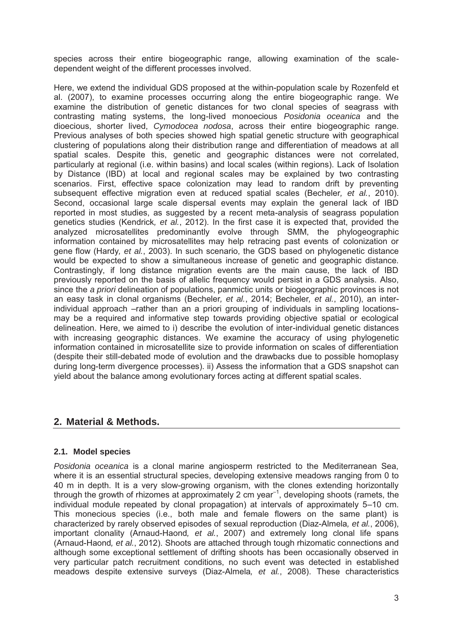species across their entire biogeographic range, allowing examination of the scaledependent weight of the different processes involved.

Here, we extend the individual GDS proposed at the within-population scale by Rozenfeld et al. (2007), to examine processes occurring along the entire biogeographic range. We examine the distribution of genetic distances for two clonal species of seagrass with contrasting mating systems, the long-lived monoecious Posidonia oceanica and the dioecious, shorter lived, Cymodocea nodosa, across their entire biogeographic range. Previous analyses of both species showed high spatial genetic structure with geographical clustering of populations along their distribution range and differentiation of meadows at all spatial scales. Despite this, genetic and geographic distances were not correlated, particularly at regional (i.e. within basins) and local scales (within regions). Lack of Isolation by Distance (IBD) at local and regional scales may be explained by two contrasting scenarios. First, effective space colonization may lead to random drift by preventing subsequent effective migration even at reduced spatial scales (Becheler, et al., 2010). Second, occasional large scale dispersal events may explain the general lack of IBD reported in most studies, as suggested by a recent meta-analysis of seagrass population genetics studies (Kendrick, et al., 2012). In the first case it is expected that, provided the analyzed microsatellites predominantly evolve through SMM, the phylogeographic information contained by microsatellites may help retracing past events of colonization or gene flow (Hardy, et al., 2003). In such scenario, the GDS based on phylogenetic distance would be expected to show a simultaneous increase of genetic and geographic distance. Contrastingly, if long distance migration events are the main cause, the lack of IBD previously reported on the basis of allelic frequency would persist in a GDS analysis. Also, since the a priori delineation of populations, panmictic units or biogeographic provinces is not an easy task in clonal organisms (Becheler, et al., 2014; Becheler, et al., 2010), an interindividual approach –rather than an a priori grouping of individuals in sampling locationsmay be a required and informative step towards providing objective spatial or ecological delineation. Here, we aimed to i) describe the evolution of inter-individual genetic distances with increasing geographic distances. We examine the accuracy of using phylogenetic information contained in microsatellite size to provide information on scales of differentiation (despite their still-debated mode of evolution and the drawbacks due to possible homoplasy during long-term divergence processes). ii) Assess the information that a GDS snapshot can yield about the balance among evolutionary forces acting at different spatial scales.

# 2. Material & Methods.

# 2.1. Model species

Posidonia oceanica is a clonal marine angiosperm restricted to the Mediterranean Sea. where it is an essential structural species, developing extensive meadows ranging from 0 to 40 m in depth. It is a very slow-growing organism, with the clones extending horizontally through the growth of rhizomes at approximately 2 cm year<sup>-1</sup>, developing shoots (ramets, the individual module repeated by clonal propagation) at intervals of approximately 5-10 cm. This monecious species (i.e., both male and female flowers on the same plant) is characterized by rarely observed episodes of sexual reproduction (Diaz-Almela, et al., 2006). important clonality (Arnaud-Haond, et al., 2007) and extremely long clonal life spans (Arnaud-Haond, et al., 2012). Shoots are attached through tough rhizomatic connections and although some exceptional settlement of drifting shoots has been occasionally observed in very particular patch recruitment conditions, no such event was detected in established meadows despite extensive surveys (Diaz-Almela, et al., 2008). These characteristics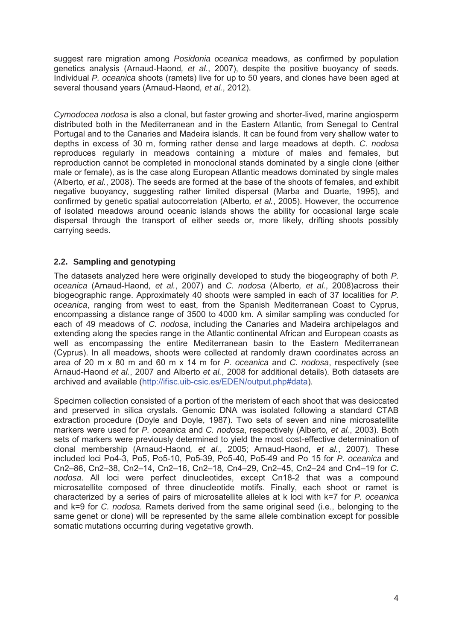suggest rare migration among Posidonia oceanica meadows, as confirmed by population genetics analysis (Arnaud-Haond, et al., 2007), despite the positive buoyancy of seeds. Individual P. oceanica shoots (ramets) live for up to 50 years, and clones have been aged at several thousand years (Arnaud-Haond, et al., 2012).

Cymodocea nodosa is also a clonal, but faster growing and shorter-lived, marine angiosperm distributed both in the Mediterranean and in the Eastern Atlantic, from Senegal to Central Portugal and to the Canaries and Madeira islands. It can be found from very shallow water to depths in excess of 30 m, forming rather dense and large meadows at depth. C. nodosa reproduces regularly in meadows containing a mixture of males and females, but reproduction cannot be completed in monoclonal stands dominated by a single clone (either male or female), as is the case along European Atlantic meadows dominated by single males (Alberto, et al., 2008). The seeds are formed at the base of the shoots of females, and exhibit negative buoyancy, suggesting rather limited dispersal (Marba and Duarte, 1995), and confirmed by genetic spatial autocorrelation (Alberto, et al., 2005). However, the occurrence of isolated meadows around oceanic islands shows the ability for occasional large scale dispersal through the transport of either seeds or, more likely, drifting shoots possibly carrying seeds.

# 2.2. Sampling and genotyping

The datasets analyzed here were originally developed to study the biogeography of both P. oceanica (Arnaud-Haond, et al., 2007) and C. nodosa (Alberto, et al., 2008) across their biogeographic range. Approximately 40 shoots were sampled in each of 37 localities for P. oceanica, ranging from west to east, from the Spanish Mediterranean Coast to Cyprus. encompassing a distance range of 3500 to 4000 km. A similar sampling was conducted for each of 49 meadows of C. nodosa, including the Canaries and Madeira archipelagos and extending along the species range in the Atlantic continental African and European coasts as well as encompassing the entire Mediterranean basin to the Eastern Mediterranean (Cyprus). In all meadows, shoots were collected at randomly drawn coordinates across an area of 20 m x 80 m and 60 m x 14 m for P, oceanica and C, nodosa, respectively (see Arnaud-Haond et al., 2007 and Alberto et al., 2008 for additional details). Both datasets are archived and available (http://ifisc.uib-csic.es/EDEN/output.php#data).

Specimen collection consisted of a portion of the meristem of each shoot that was desiccated and preserved in silica crystals. Genomic DNA was isolated following a standard CTAB extraction procedure (Dovle and Dovle, 1987). Two sets of seven and nine microsatellite markers were used for P. oceanica and C. nodosa, respectively (Alberto, et al., 2003). Both sets of markers were previously determined to vield the most cost-effective determination of clonal membership (Arnaud-Haond, et al., 2005; Arnaud-Haond, et al., 2007). These included loci Po4-3, Po5, Po5-10, Po5-39, Po5-40, Po5-49 and Po 15 for P. oceanica and Cn2-86, Cn2-38, Cn2-14, Cn2-16, Cn2-18, Cn4-29, Cn2-45, Cn2-24 and Cn4-19 for C. nodosa. All loci were perfect dinucleotides, except Cn18-2 that was a compound microsatellite composed of three dinucleotide motifs. Finally, each shoot or ramet is characterized by a series of pairs of microsatellite alleles at k loci with k=7 for P, oceanica and k=9 for C. nodosa. Ramets derived from the same original seed (i.e., belonging to the same genet or clone) will be represented by the same allele combination except for possible somatic mutations occurring during vegetative growth.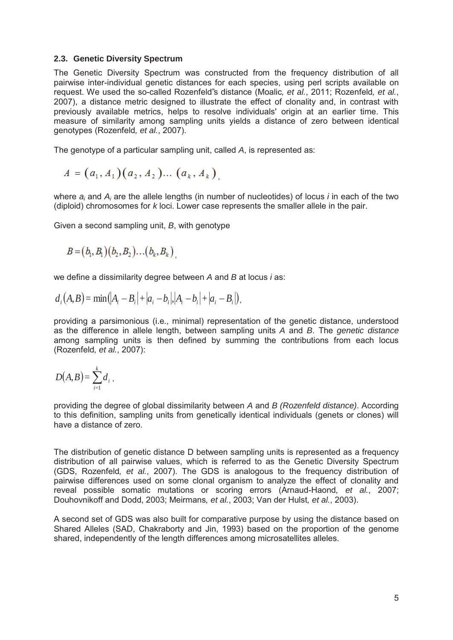#### 2.3. Genetic Diversity Spectrum

The Genetic Diversity Spectrum was constructed from the frequency distribution of all pairwise inter-individual genetic distances for each species, using perl scripts available on request. We used the so-called Rozenfeld"s distance (Moalic, et al., 2011; Rozenfeld, et al., 2007), a distance metric designed to illustrate the effect of clonality and, in contrast with previously available metrics, helps to resolve individuals' origin at an earlier time. This measure of similarity among sampling units vields a distance of zero between identical genotypes (Rozenfeld, et al., 2007).

The genotype of a particular sampling unit, called A, is represented as:

$$
A = (a_1, A_1) (a_2, A_2) \dots (a_k, A_k),
$$

where  $a_i$  and  $A_i$  are the allele lengths (in number of nucleotides) of locus *i* in each of the two (diploid) chromosomes for k loci. Lower case represents the smaller allele in the pair.

Given a second sampling unit, B, with genotype

$$
B = (b_1, B_1)(b_2, B_2)...(b_k, B_k)
$$

we define a dissimilarity degree between A and B at locus *i* as:

$$
d_i(A, B) = \min(|A_i - B_i| + |a_i - b_i|, |A_i - b_i| + |a_i - B_i|).
$$

providing a parsimonious (i.e., minimal) representation of the genetic distance, understood as the difference in allele length, between sampling units A and B. The genetic distance among sampling units is then defined by summing the contributions from each locus (Rozenfeld, et al., 2007):

$$
D(A,B)=\sum_{i=1}^k d_i,
$$

providing the degree of global dissimilarity between A and B (Rozenfeld distance). According to this definition, sampling units from genetically identical individuals (genets or clones) will have a distance of zero.

The distribution of genetic distance D between sampling units is represented as a frequency distribution of all pairwise values, which is referred to as the Genetic Diversity Spectrum (GDS. Rozenfeld, et al., 2007). The GDS is analogous to the frequency distribution of pairwise differences used on some clonal organism to analyze the effect of clonality and reveal possible somatic mutations or scoring errors (Arnaud-Haond, et al., 2007; Douhovnikoff and Dodd, 2003; Meirmans, et al., 2003; Van der Hulst, et al., 2003).

A second set of GDS was also built for comparative purpose by using the distance based on Shared Alleles (SAD, Chakraborty and Jin, 1993) based on the proportion of the genome shared, independently of the length differences among microsatellites alleles.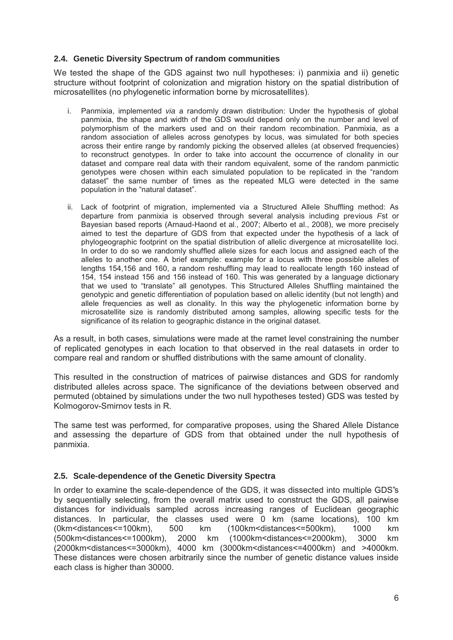### 2.4. Genetic Diversity Spectrum of random communities

We tested the shape of the GDS against two null hypotheses: i) panmixia and ii) genetic structure without footprint of colonization and migration history on the spatial distribution of microsatellites (no phylogenetic information borne by microsatellites).

- i. Panmixia, implemented via a randomly drawn distribution: Under the hypothesis of global panmixia, the shape and width of the GDS would depend only on the number and level of polymorphism of the markers used and on their random recombination. Panmixia, as a random association of alleles across genotypes by locus, was simulated for both species across their entire range by randomly picking the observed alleles (at observed frequencies) to reconstruct genotypes. In order to take into account the occurrence of clonality in our dataset and compare real data with their random equivalent, some of the random panmictic genotypes were chosen within each simulated population to be replicated in the "random" dataset" the same number of times as the repeated MLG were detected in the same population in the "natural dataset".
- ii. Lack of footprint of migration, implemented via a Structured Allele Shuffling method: As departure from panmixia is observed through several analysis including previous Fst or Bayesian based reports (Arnaud-Haond et al., 2007; Alberto et al., 2008), we more precisely aimed to test the departure of GDS from that expected under the hypothesis of a lack of phylogeographic footprint on the spatial distribution of allelic divergence at microsatellite loci. In order to do so we randomly shuffled allele sizes for each locus and assigned each of the alleles to another one. A brief example: example for a locus with three possible alleles of lengths 154,156 and 160, a random reshuffling may lead to reallocate length 160 instead of 154, 154 instead 156 and 156 instead of 160. This was generated by a language dictionary that we used to "translate" all genotypes. This Structured Alleles Shuffling maintained the genotypic and genetic differentiation of population based on allelic identity (but not length) and allele frequencies as well as clonality. In this way the phylogenetic information borne by microsatellite size is randomly distributed among samples, allowing specific tests for the significance of its relation to geographic distance in the original dataset.

As a result, in both cases, simulations were made at the ramet level constraining the number of replicated genotypes in each location to that observed in the real datasets in order to compare real and random or shuffled distributions with the same amount of clonality.

This resulted in the construction of matrices of pairwise distances and GDS for randomly distributed alleles across space. The significance of the deviations between observed and permuted (obtained by simulations under the two null hypotheses tested) GDS was tested by Kolmogorov-Smirnov tests in R.

The same test was performed, for comparative proposes, using the Shared Allele Distance and assessing the departure of GDS from that obtained under the null hypothesis of panmixia.

#### 2.5. Scale-dependence of the Genetic Diversity Spectra

In order to examine the scale-dependence of the GDS, it was dissected into multiple GDS's by sequentially selecting, from the overall matrix used to construct the GDS, all pairwise distances for individuals sampled across increasing ranges of Euclidean geographic distances. In particular, the classes used were 0 km (same locations), 100 km (0km<distances<=100km). 500  $km$ (100km<distances<=500km). 1000  $km$ (500km < distances <= 1000km), 2000 km  $(1000km<$ distances $\leq$ =2000km), 3000 km  $(2000 \text{km}$  < distances <= 3000 km). 4000 km  $(3000 \text{km}$  <a>s distances <= 4000 km) and >4000 km. These distances were chosen arbitrarily since the number of genetic distance values inside each class is higher than 30000.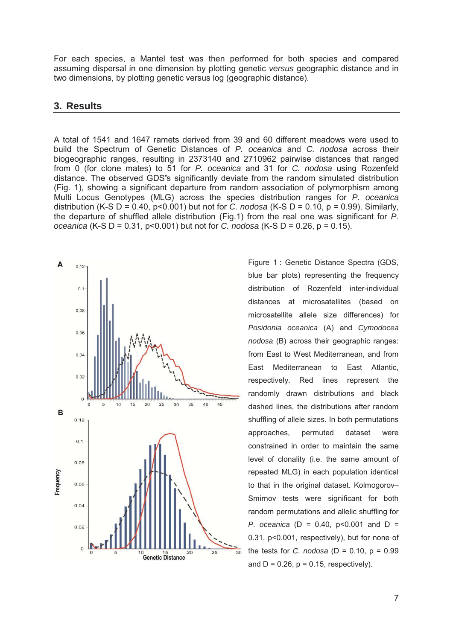For each species, a Mantel test was then performed for both species and compared assuming dispersal in one dimension by plotting genetic versus geographic distance and in two dimensions, by plotting genetic versus log (geographic distance).

#### 3. Results

A total of 1541 and 1647 ramets derived from 39 and 60 different meadows were used to build the Spectrum of Genetic Distances of P. oceanica and C. nodosa across their biogeographic ranges, resulting in 2373140 and 2710962 pairwise distances that ranged from 0 (for clone mates) to 51 for P. oceanica and 31 for C. nodosa using Rozenfeld distance. The observed GDS's significantly deviate from the random simulated distribution (Fig. 1), showing a significant departure from random association of polymorphism among Multi Locus Genotypes (MLG) across the species distribution ranges for P. oceanica distribution (K-S D = 0.40, p<0.001) but not for C. nodosa (K-S D = 0.10, p = 0.99). Similarly, the departure of shuffled allele distribution (Fig.1) from the real one was significant for P. oceanica (K-S D = 0.31, p<0.001) but not for C, nodosa (K-S D = 0.26, p = 0.15).



Figure 1: Genetic Distance Spectra (GDS, blue bar plots) representing the frequency distribution of Rozenfeld inter-individual distances at microsatellites (based on microsatellite allele size differences) for Posidonia oceanica (A) and Cymodocea nodosa (B) across their geographic ranges: from East to West Mediterranean, and from East Mediterranean to East Atlantic. respectively. Red lines represent the randomly drawn distributions and black dashed lines, the distributions after random shuffling of allele sizes. In both permutations approaches. permuted dataset were constrained in order to maintain the same level of clonality (i.e. the same amount of repeated MLG) in each population identical to that in the original dataset. Kolmogorov-Smirnov tests were significant for both random permutations and allelic shuffling for P. oceanica ( $D = 0.40$ ,  $p < 0.001$  and  $D =$ 0.31, p<0.001, respectively), but for none of the tests for C. nodosa ( $D = 0.10$ ,  $p = 0.99$ and  $D = 0.26$ ,  $p = 0.15$ , respectively).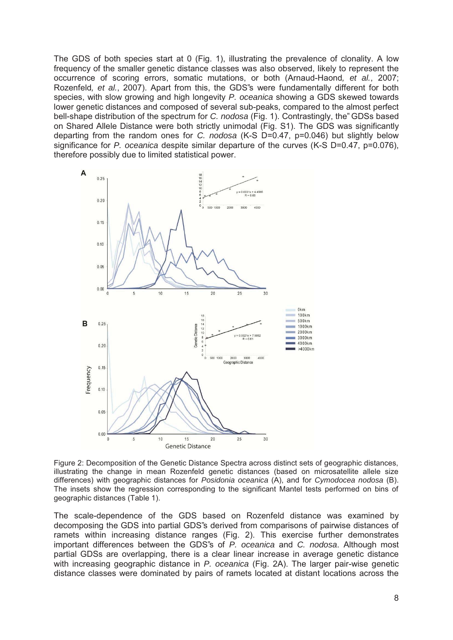The GDS of both species start at 0 (Fig. 1), illustrating the prevalence of clonality. A low frequency of the smaller genetic distance classes was also observed, likely to represent the occurrence of scoring errors, somatic mutations, or both (Arnaud-Haond, et al., 2007; Rozenfeld, et al., 2007). Apart from this, the GDS's were fundamentally different for both species, with slow growing and high longevity P. oceanica showing a GDS skewed towards lower genetic distances and composed of several sub-peaks, compared to the almost perfect bell-shape distribution of the spectrum for C. nodosa (Fig. 1). Contrastingly, the "GDSs based on Shared Allele Distance were both strictly unimodal (Fig. S1). The GDS was significantly departing from the random ones for C. nodosa (K-S D=0.47, p=0.046) but slightly below significance for P. oceanica despite similar departure of the curves (K-S  $D=0.47$ ,  $p=0.076$ ), therefore possibly due to limited statistical power.



Figure 2: Decomposition of the Genetic Distance Spectra across distinct sets of geographic distances. illustrating the change in mean Rozenfeld genetic distances (based on microsatellite allele size differences) with geographic distances for Posidonia oceanica (A), and for Cymodocea nodosa (B). The insets show the regression corresponding to the significant Mantel tests performed on bins of geographic distances (Table 1).

The scale-dependence of the GDS based on Rozenfeld distance was examined by decomposing the GDS into partial GDS's derived from comparisons of pairwise distances of ramets within increasing distance ranges (Fig. 2). This exercise further demonstrates important differences between the GDS's of P. oceanica and C. nodosa. Although most partial GDSs are overlapping, there is a clear linear increase in average genetic distance with increasing geographic distance in P. oceanica (Fig. 2A). The larger pair-wise genetic distance classes were dominated by pairs of ramets located at distant locations across the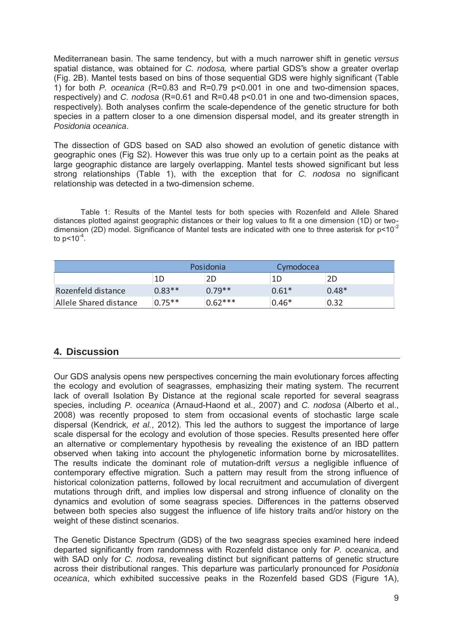Mediterranean basin. The same tendency, but with a much narrower shift in genetic versus spatial distance, was obtained for C. nodosa, where partial GDS's show a greater overlap (Fig. 2B). Mantel tests based on bins of those sequential GDS were highly significant (Table 1) for both P. oceanica (R=0.83 and R=0.79 p<0.001 in one and two-dimension spaces, respectively) and C. nodosa (R=0.61 and R=0.48 p<0.01 in one and two-dimension spaces, respectively). Both analyses confirm the scale-dependence of the genetic structure for both species in a pattern closer to a one dimension dispersal model, and its greater strength in Posidonia oceanica.

The dissection of GDS based on SAD also showed an evolution of genetic distance with geographic ones (Fig S2). However this was true only up to a certain point as the peaks at large geographic distance are largely overlapping. Mantel tests showed significant but less strong relationships (Table 1), with the exception that for C. nodosa no significant relationship was detected in a two-dimension scheme.

Table 1: Results of the Mantel tests for both species with Rozenfeld and Allele Shared distances plotted against geographic distances or their log values to fit a one dimension (1D) or twodimension (2D) model. Significance of Mantel tests are indicated with one to three asterisk for p<10<sup>-2</sup> to  $p < 10^{-4}$ .

|                        | Posidonia |           | Cymodocea |         |
|------------------------|-----------|-----------|-----------|---------|
|                        | 1D        | 2D        | 1D        | 2D      |
| Rozenfeld distance     | $0.83**$  | $0.79**$  | $0.61*$   | $0.48*$ |
| Allele Shared distance | $0.75**$  | $0.62***$ | $0.46*$   | 0.32    |

# 4. Discussion

Our GDS analysis opens new perspectives concerning the main evolutionary forces affecting the ecology and evolution of seagrasses, emphasizing their mating system. The recurrent lack of overall Isolation By Distance at the regional scale reported for several seagrass species, including P. oceanica (Arnaud-Haond et al., 2007) and C. nodosa (Alberto et al., 2008) was recently proposed to stem from occasional events of stochastic large scale dispersal (Kendrick, et al., 2012). This led the authors to suggest the importance of large scale dispersal for the ecology and evolution of those species. Results presented here offer an alternative or complementary hypothesis by revealing the existence of an IBD pattern observed when taking into account the phylogenetic information borne by microsatellites. The results indicate the dominant role of mutation-drift versus a negligible influence of contemporary effective migration. Such a pattern may result from the strong influence of historical colonization patterns, followed by local recruitment and accumulation of divergent mutations through drift, and implies low dispersal and strong influence of clonality on the dynamics and evolution of some seagrass species. Differences in the patterns observed between both species also suggest the influence of life history traits and/or history on the weight of these distinct scenarios.

The Genetic Distance Spectrum (GDS) of the two seagrass species examined here indeed departed significantly from randomness with Rozenfeld distance only for P. oceanica, and with SAD only for C. nodosa, revealing distinct but significant patterns of genetic structure across their distributional ranges. This departure was particularly pronounced for Posidonia oceanica, which exhibited successive peaks in the Rozenfeld based GDS (Figure 1A),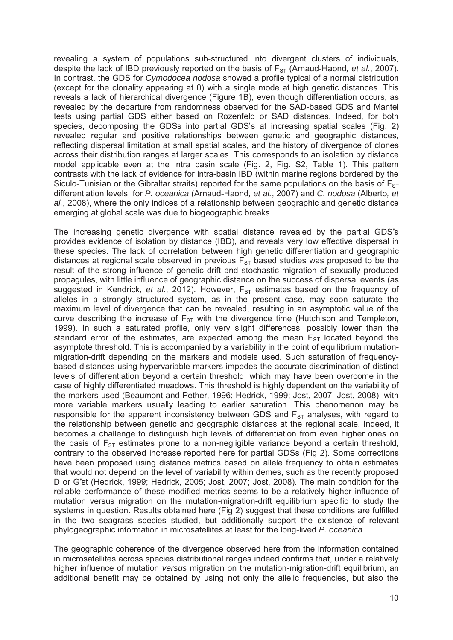revealing a system of populations sub-structured into divergent clusters of individuals, despite the lack of IBD previously reported on the basis of  $F_{ST}$  (Arnaud-Haond, et al., 2007). In contrast, the GDS for Cymodocea nodosa showed a profile typical of a normal distribution (except for the clonality appearing at 0) with a single mode at high genetic distances. This reveals a lack of hierarchical divergence (Figure 1B), even though differentiation occurs, as revealed by the departure from randomness observed for the SAD-based GDS and Mantel tests using partial GDS either based on Rozenfeld or SAD distances. Indeed, for both species, decomposing the GDSs into partial GDS's at increasing spatial scales (Fig. 2) revealed regular and positive relationships between genetic and geographic distances, reflecting dispersal limitation at small spatial scales, and the history of divergence of clones across their distribution ranges at larger scales. This corresponds to an isolation by distance model applicable even at the intra basin scale (Fig. 2, Fig. S2, Table 1). This pattern contrasts with the lack of evidence for intra-basin IBD (within marine regions bordered by the Siculo-Tunisian or the Gibraltar straits) reported for the same populations on the basis of  $F_{ST}$ differentiation levels, for P. oceanica (Arnaud-Haond, et al., 2007) and C. nodosa (Alberto, et al., 2008), where the only indices of a relationship between geographic and genetic distance emerging at global scale was due to biogeographic breaks.

The increasing genetic divergence with spatial distance revealed by the partial GDS"s provides evidence of isolation by distance (IBD), and reveals very low effective dispersal in these species. The lack of correlation between high genetic differentiation and geographic distances at regional scale observed in previous  $F_{ST}$  based studies was proposed to be the result of the strong influence of genetic drift and stochastic migration of sexually produced propagules, with little influence of geographic distance on the success of dispersal events (as suggested in Kendrick, et al., 2012). However,  $F_{ST}$  estimates based on the frequency of alleles in a strongly structured system, as in the present case, may soon saturate the maximum level of divergence that can be revealed, resulting in an asymptotic value of the curve describing the increase of  $F_{ST}$  with the divergence time (Hutchison and Templeton, 1999). In such a saturated profile, only very slight differences, possibly lower than the standard error of the estimates, are expected among the mean  $F_{ST}$  located beyond the asymptote threshold. This is accompanied by a variability in the point of equilibrium mutationmigration-drift depending on the markers and models used. Such saturation of frequencybased distances using hypervariable markers impedes the accurate discrimination of distinct levels of differentiation beyond a certain threshold, which may have been overcome in the case of highly differentiated meadows. This threshold is highly dependent on the variability of the markers used (Beaumont and Pether, 1996; Hedrick, 1999; Jost, 2007; Jost, 2008), with more variable markers usually leading to earlier saturation. This phenomenon may be responsible for the apparent inconsistency between GDS and  $F_{ST}$  analyses, with regard to the relationship between genetic and geographic distances at the regional scale. Indeed, it becomes a challenge to distinguish high levels of differentiation from even higher ones on the basis of  $F_{ST}$  estimates prone to a non-negligible variance beyond a certain threshold, contrary to the observed increase reported here for partial GDSs (Fig 2). Some corrections have been proposed using distance metrics based on allele frequency to obtain estimates that would not depend on the level of variability within demes, such as the recently proposed D or G"st (Hedrick, 1999; Hedrick, 2005; Jost, 2007; Jost, 2008). The main condition for the reliable performance of these modified metrics seems to be a relatively higher influence of mutation versus migration on the mutation-migration-drift equilibrium specific to study the systems in question. Results obtained here (Fig 2) suggest that these conditions are fulfilled in the two seagrass species studied, but additionally support the existence of relevant phylogeographic information in microsatellites at least for the long-lived P. oceanica.

The geographic coherence of the divergence observed here from the information contained in microsatellites across species distributional ranges indeed confirms that, under a relatively higher influence of mutation versus migration on the mutation-migration-drift equilibrium, an additional benefit may be obtained by using not only the allelic frequencies, but also the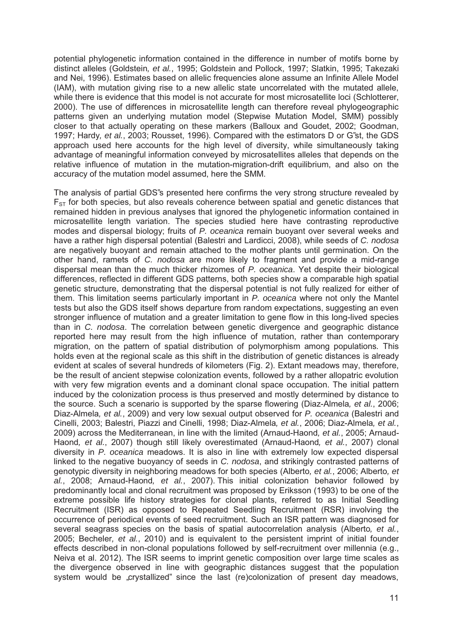potential phylogenetic information contained in the difference in number of motifs borne by distinct alleles (Goldstein, et al., 1995; Goldstein and Pollock, 1997; Slatkin, 1995; Takezaki and Nei, 1996). Estimates based on allelic frequencies alone assume an Infinite Allele Model (IAM), with mutation giving rise to a new allelic state uncorrelated with the mutated allele. while there is evidence that this model is not accurate for most microsatellite loci (Schlotterer, 2000). The use of differences in microsatellite length can therefore reveal phylogeographic patterns given an underlying mutation model (Stepwise Mutation Model, SMM) possibly closer to that actually operating on these markers (Balloux and Goudet, 2002; Goodman, 1997; Hardy, et al., 2003; Rousset, 1996). Compared with the estimators D or G"st, the GDS approach used here accounts for the high level of diversity, while simultaneously taking advantage of meaningful information conveyed by microsatellites alleles that depends on the relative influence of mutation in the mutation-migration-drift equilibrium, and also on the accuracy of the mutation model assumed, here the SMM.

The analysis of partial GDS"s presented here confirms the very strong structure revealed by  $F_{ST}$  for both species, but also reveals coherence between spatial and genetic distances that remained hidden in previous analyses that ignored the phylogenetic information contained in microsatellite length variation. The species studied here have contrasting reproductive modes and dispersal biology; fruits of P. oceanica remain buoyant over several weeks and have a rather high dispersal potential (Balestri and Lardicci, 2008), while seeds of C, nodosa are negatively buoyant and remain attached to the mother plants until germination. On the other hand, ramets of C. nodosa are more likely to fragment and provide a mid-range dispersal mean than the much thicker rhizomes of P. oceanica. Yet despite their biological differences, reflected in different GDS patterns, both species show a comparable high spatial genetic structure, demonstrating that the dispersal potential is not fully realized for either of them. This limitation seems particularly important in P. oceanica where not only the Mantel tests but also the GDS itself shows departure from random expectations, suggesting an even stronger influence of mutation and a greater limitation to gene flow in this long-lived species than in C. nodosa. The correlation between genetic divergence and geographic distance reported here may result from the high influence of mutation, rather than contemporary migration, on the pattern of spatial distribution of polymorphism among populations. This holds even at the regional scale as this shift in the distribution of genetic distances is already evident at scales of several hundreds of kilometers (Fig. 2). Extant meadows may, therefore, be the result of ancient stepwise colonization events, followed by a rather allopatric evolution with very few migration events and a dominant clonal space occupation. The initial pattern induced by the colonization process is thus preserved and mostly determined by distance to the source. Such a scenario is supported by the sparse flowering (Diaz-Almela, et al., 2006; Diaz-Almela, et al., 2009) and very low sexual output observed for P, oceanica (Balestri and Cinelli, 2003; Balestri, Piazzi and Cinelli, 1998; Diaz-Almela, et al., 2006; Diaz-Almela, et al., 2009) across the Mediterranean, in line with the limited (Arnaud-Haond, et al., 2005; Arnaud-Haond, et al., 2007) though still likely overestimated (Arnaud-Haond, et al., 2007) clonal diversity in P. oceanica meadows. It is also in line with extremely low expected dispersal linked to the negative buoyancy of seeds in C. nodosa, and strikingly contrasted patterns of genotypic diversity in neighboring meadows for both species (Alberto, et al., 2006; Alberto, et al., 2008; Arnaud-Haond, et al., 2007). This initial colonization behavior followed by predominantly local and clonal recruitment was proposed by Eriksson (1993) to be one of the extreme possible life history strategies for clonal plants, referred to as Initial Seedling Recruitment (ISR) as opposed to Repeated Seedling Recruitment (RSR) involving the occurrence of periodical events of seed recruitment. Such an ISR pattern was diagnosed for several seagrass species on the basis of spatial autocorrelation analysis (Alberto, et al., 2005; Becheler, et al., 2010) and is equivalent to the persistent imprint of initial founder effects described in non-clonal populations followed by self-recruitment over millennia (e.g., Neiva et al. 2012). The ISR seems to imprint genetic composition over large time scales as the divergence observed in line with geographic distances suggest that the population system would be "crystallized" since the last (re)colonization of present day meadows,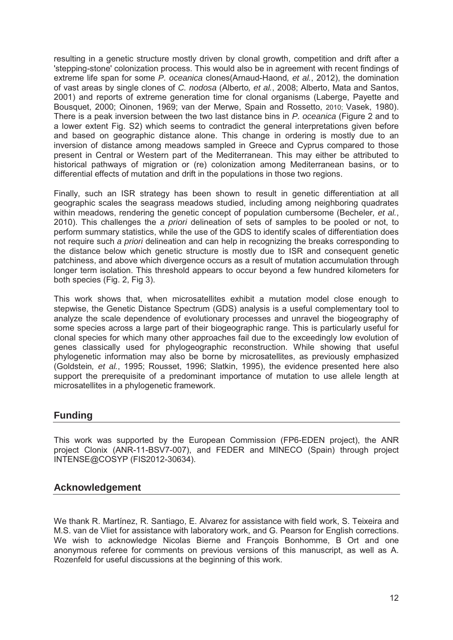resulting in a genetic structure mostly driven by clonal growth, competition and drift after a 'stepping-stone' colonization process. This would also be in agreement with recent findings of extreme life span for some P. oceanica clones(Arnaud-Haond, et al., 2012), the domination of vast areas by single clones of C. nodosa (Alberto, et al., 2008; Alberto, Mata and Santos, 2001) and reports of extreme generation time for clonal organisms (Laberge, Payette and Bousquet, 2000; Oinonen, 1969; van der Merwe, Spain and Rossetto, 2010; Vasek, 1980). There is a peak inversion between the two last distance bins in P. oceanica (Figure 2 and to a lower extent Fig. S2) which seems to contradict the general interpretations given before and based on geographic distance alone. This change in ordering is mostly due to an inversion of distance among meadows sampled in Greece and Cyprus compared to those present in Central or Western part of the Mediterranean. This may either be attributed to historical pathways of migration or (re) colonization among Mediterranean basins, or to differential effects of mutation and drift in the populations in those two regions.

Finally, such an ISR strategy has been shown to result in genetic differentiation at all geographic scales the seagrass meadows studied, including among neighboring quadrates within meadows, rendering the genetic concept of population cumbersome (Becheler, et al., 2010). This challenges the a priori delineation of sets of samples to be pooled or not, to perform summary statistics, while the use of the GDS to identify scales of differentiation does not require such a priori delineation and can help in recognizing the breaks corresponding to the distance below which genetic structure is mostly due to ISR and consequent genetic patchiness, and above which divergence occurs as a result of mutation accumulation through longer term isolation. This threshold appears to occur beyond a few hundred kilometers for both species (Fig. 2, Fig 3).

This work shows that, when microsatellites exhibit a mutation model close enough to stepwise, the Genetic Distance Spectrum (GDS) analysis is a useful complementary tool to analyze the scale dependence of evolutionary processes and unravel the biogeography of some species across a large part of their biogeographic range. This is particularly useful for clonal species for which many other approaches fail due to the exceedingly low evolution of genes classically used for phylogeographic reconstruction. While showing that useful phylogenetic information may also be borne by microsatellites, as previously emphasized (Goldstein, et al., 1995; Rousset, 1996; Slatkin, 1995), the evidence presented here also support the prerequisite of a predominant importance of mutation to use allele length at microsatellites in a phylogenetic framework.

# **Funding**

This work was supported by the European Commission (FP6-EDEN project), the ANR project Clonix (ANR-11-BSV7-007), and FEDER and MINECO (Spain) through project INTENSE@COSYP (FIS2012-30634).

# **Acknowledgement**

We thank R. Martínez, R. Santiago, E. Alvarez for assistance with field work, S. Teixeira and M.S. van de Vliet for assistance with laboratory work, and G. Pearson for English corrections. We wish to acknowledge Nicolas Bierne and François Bonhomme, B Ort and one anonymous referee for comments on previous versions of this manuscript, as well as A. Rozenfeld for useful discussions at the beginning of this work.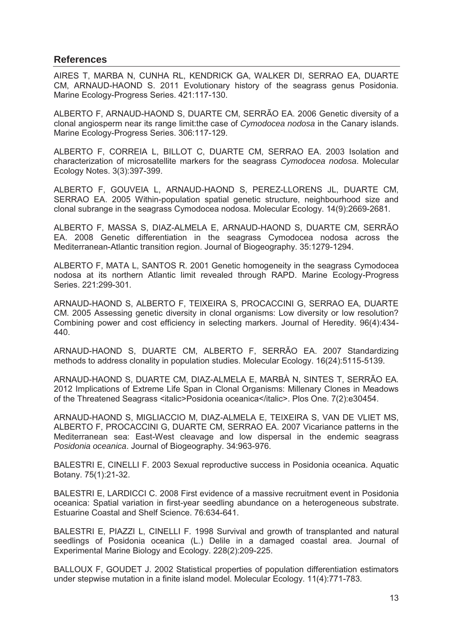# **References**

AIRES T. MARBA N. CUNHA RL. KENDRICK GA. WALKER DI. SERRAO EA. DUARTE CM, ARNAUD-HAOND S. 2011 Evolutionary history of the seagrass genus Posidonia. Marine Ecology-Progress Series. 421:117-130.

ALBERTO F, ARNAUD-HAOND S, DUARTE CM, SERRÃO EA. 2006 Genetic diversity of a clonal angiosperm near its range limit: the case of Cymodocea nodosa in the Canary islands. Marine Ecology-Progress Series. 306:117-129.

ALBERTO F. CORREIA L. BILLOT C. DUARTE CM. SERRAO EA. 2003 Isolation and characterization of microsatellite markers for the seagrass Cymodocea nodosa. Molecular Ecology Notes. 3(3):397-399.

ALBERTO F. GOUVEIA L. ARNAUD-HAOND S. PEREZ-LLORENS JL. DUARTE CM. SERRAO EA. 2005 Within-population spatial genetic structure, neighbourhood size and clonal subrange in the seagrass Cymodocea nodosa. Molecular Ecology. 14(9):2669-2681.

ALBERTO F, MASSA S, DIAZ-ALMELA E, ARNAUD-HAOND S, DUARTE CM, SERRÃO EA. 2008 Genetic differentiation in the seagrass Cymodocea nodosa across the Mediterranean-Atlantic transition region, Journal of Biogeography, 35:1279-1294.

ALBERTO F. MATA L. SANTOS R. 2001 Genetic homogeneity in the seagrass Cymodocea nodosa at its northern Atlantic limit revealed through RAPD. Marine Ecology-Progress Series. 221:299-301.

ARNAUD-HAOND S, ALBERTO F, TEIXEIRA S, PROCACCINI G, SERRAO EA, DUARTE CM. 2005 Assessing genetic diversity in clonal organisms: Low diversity or low resolution? Combining power and cost efficiency in selecting markers. Journal of Heredity. 96(4):434-440.

ARNAUD-HAOND S, DUARTE CM, ALBERTO F, SERRÃO EA. 2007 Standardizing methods to address clonality in population studies. Molecular Ecology. 16(24):5115-5139.

ARNAUD-HAOND S. DUARTE CM. DIAZ-ALMELA E. MARBÀ N. SINTES T. SERRÃO EA. 2012 Implications of Extreme Life Span in Clonal Organisms: Millenary Clones in Meadows of the Threatened Seagrass <italic>Posidonia oceanica</italic>. Plos One. 7(2):e30454.

ARNAUD-HAOND S, MIGLIACCIO M, DIAZ-ALMELA E, TEIXEIRA S, VAN DE VLIET MS, ALBERTO F, PROCACCINI G, DUARTE CM, SERRAO EA. 2007 Vicariance patterns in the Mediterranean sea: East-West cleavage and low dispersal in the endemic seagrass Posidonia oceanica. Journal of Biogeography. 34:963-976.

BALESTRI E, CINELLI F. 2003 Sexual reproductive success in Posidonia oceanica. Aquatic Botany. 75(1):21-32.

BALESTRI E, LARDICCI C. 2008 First evidence of a massive recruitment event in Posidonia oceanica: Spatial variation in first-year seedling abundance on a heterogeneous substrate. Estuarine Coastal and Shelf Science. 76:634-641.

BALESTRI E. PIAZZI L. CINELLI F. 1998 Survival and growth of transplanted and natural seedlings of Posidonia oceanica (L.) Delile in a damaged coastal area. Journal of Experimental Marine Biology and Ecology. 228(2):209-225.

BALLOUX F, GOUDET J. 2002 Statistical properties of population differentiation estimators under stepwise mutation in a finite island model. Molecular Ecology. 11(4):771-783.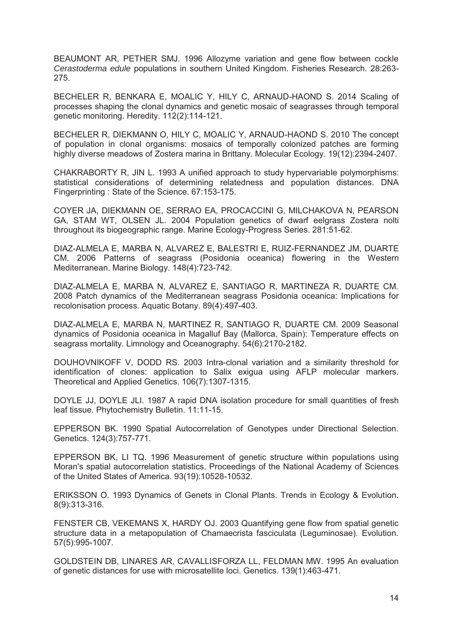BEAUMONT AR, PETHER SMJ. 1996 Allozyme variation and gene flow between cockle Cerastoderma edule populations in southern United Kingdom. Fisheries Research. 28:263-275.

BECHELER R, BENKARA E, MOALIC Y, HILY C, ARNAUD-HAOND S. 2014 Scaling of processes shaping the clonal dynamics and genetic mosaic of seagrasses through temporal genetic monitoring. Heredity. 112(2):114-121.

BECHELER R. DIEKMANN O. HILY C. MOALIC Y. ARNAUD-HAOND S. 2010 The concept of population in clonal organisms: mosaics of temporally colonized patches are forming highly diverse meadows of Zostera marina in Brittany. Molecular Ecology. 19(12):2394-2407.

CHAKRABORTY R, JIN L. 1993 A unified approach to study hypervariable polymorphisms: statistical considerations of determining relatedness and population distances. DNA Fingerprinting: State of the Science. 67:153-175.

COYER JA, DIEKMANN OE, SERRAO EA, PROCACCINI G, MILCHAKOVA N, PEARSON GA, STAM WT, OLSEN JL. 2004 Population genetics of dwarf eelgrass Zostera nolti throughout its biogeographic range. Marine Ecology-Progress Series. 281:51-62.

DIAZ-ALMELA E, MARBA N, ALVAREZ E, BALESTRI E, RUIZ-FERNANDEZ JM, DUARTE CM. 2006 Patterns of seagrass (Posidonia oceanica) flowering in the Western Mediterranean. Marine Biology. 148(4):723-742.

DIAZ-ALMELA E, MARBA N, ALVAREZ E, SANTIAGO R, MARTINEZA R, DUARTE CM. 2008 Patch dynamics of the Mediterranean seagrass Posidonia oceanica: Implications for recolonisation process. Aquatic Botany. 89(4):497-403.

DIAZ-ALMELA E. MARBA N. MARTINEZ R. SANTIAGO R. DUARTE CM. 2009 Seasonal dynamics of Posidonia oceanica in Magalluf Bay (Mallorca, Spain): Temperature effects on seagrass mortality. Limnology and Oceanography. 54(6):2170-2182.

DOUHOVNIKOFF V. DODD RS. 2003 Intra-clonal variation and a similarity threshold for identification of clones: application to Salix exigua using AFLP molecular markers. Theoretical and Applied Genetics. 106(7):1307-1315.

DOYLE JJ, DOYLE JLI. 1987 A rapid DNA isolation procedure for small quantities of fresh leaf tissue. Phytochemistry Bulletin. 11:11-15.

EPPERSON BK. 1990 Spatial Autocorrelation of Genotypes under Directional Selection. Genetics. 124(3):757-771.

EPPERSON BK, LI TQ. 1996 Measurement of genetic structure within populations using Moran's spatial autocorrelation statistics. Proceedings of the National Academy of Sciences of the United States of America. 93(19):10528-10532.

ERIKSSON O. 1993 Dynamics of Genets in Clonal Plants. Trends in Ecology & Evolution. 8(9):313-316.

FENSTER CB, VEKEMANS X, HARDY OJ, 2003 Quantifying gene flow from spatial genetic structure data in a metapopulation of Chamaecrista fasciculata (Leguminosae). Evolution. 57(5):995-1007.

GOLDSTEIN DB, LINARES AR, CAVALLISFORZA LL, FELDMAN MW, 1995 An evaluation of genetic distances for use with microsatellite loci. Genetics. 139(1):463-471.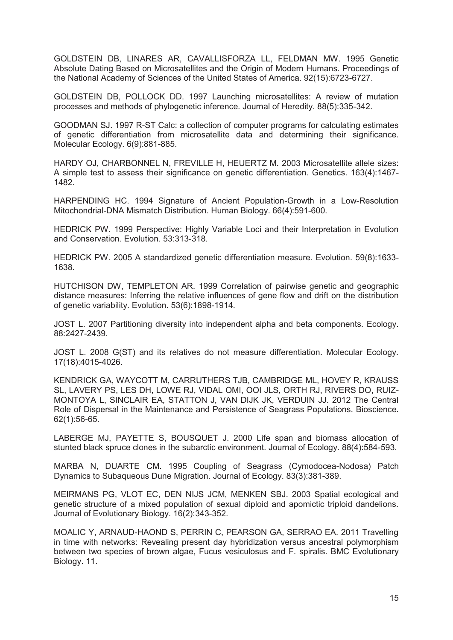GOLDSTEIN DB, LINARES AR, CAVALLISFORZA LL, FELDMAN MW. 1995 Genetic Absolute Dating Based on Microsatellites and the Origin of Modern Humans. Proceedings of the National Academy of Sciences of the United States of America. 92(15):6723-6727.

GOLDSTEIN DB, POLLOCK DD. 1997 Launching microsatellites: A review of mutation processes and methods of phylogenetic inference. Journal of Heredity. 88(5):335-342.

GOODMAN SJ. 1997 R-ST Calc: a collection of computer programs for calculating estimates of genetic differentiation from microsatellite data and determining their significance. Molecular Ecology. 6(9):881-885.

HARDY OJ, CHARBONNEL N, FREVILLE H, HEUERTZ M. 2003 Microsatellite allele sizes: A simple test to assess their significance on genetic differentiation. Genetics, 163(4):1467-1482.

HARPENDING HC. 1994 Signature of Ancient Population-Growth in a Low-Resolution Mitochondrial-DNA Mismatch Distribution. Human Biology. 66(4):591-600.

HEDRICK PW. 1999 Perspective: Highly Variable Loci and their Interpretation in Evolution and Conservation, Evolution, 53:313-318.

HEDRICK PW, 2005 A standardized genetic differentiation measure, Evolution, 59(8):1633-1638.

HUTCHISON DW, TEMPLETON AR. 1999 Correlation of pairwise genetic and geographic distance measures: Inferring the relative influences of gene flow and drift on the distribution of genetic variability. Evolution. 53(6):1898-1914.

JOST L. 2007 Partitioning diversity into independent alpha and beta components. Ecology. 88:2427-2439.

JOST L. 2008 G(ST) and its relatives do not measure differentiation. Molecular Ecology. 17(18):4015-4026.

KENDRICK GA, WAYCOTT M, CARRUTHERS TJB, CAMBRIDGE ML, HOVEY R, KRAUSS SL. LAVERY PS. LES DH. LOWE RJ. VIDAL OMI. OOI JLS. ORTH RJ. RIVERS DO. RUIZ-MONTOYA L, SINCLAIR EA, STATTON J, VAN DIJK JK, VERDUIN JJ, 2012 The Central Role of Dispersal in the Maintenance and Persistence of Seagrass Populations. Bioscience.  $62(1):56-65.$ 

LABERGE MJ, PAYETTE S, BOUSQUET J. 2000 Life span and biomass allocation of stunted black spruce clones in the subarctic environment. Journal of Ecology, 88(4):584-593.

MARBA N, DUARTE CM. 1995 Coupling of Seagrass (Cymodocea-Nodosa) Patch Dynamics to Subaqueous Dune Migration. Journal of Ecology. 83(3):381-389.

MEIRMANS PG, VLOT EC, DEN NIJS JCM, MENKEN SBJ. 2003 Spatial ecological and genetic structure of a mixed population of sexual diploid and apomictic triploid dandelions. Journal of Evolutionary Biology. 16(2):343-352.

MOALIC Y, ARNAUD-HAOND S, PERRIN C, PEARSON GA, SERRAO EA, 2011 Travelling in time with networks: Revealing present day hybridization versus ancestral polymorphism between two species of brown algae, Fucus vesiculosus and F. spiralis. BMC Evolutionary Biology. 11.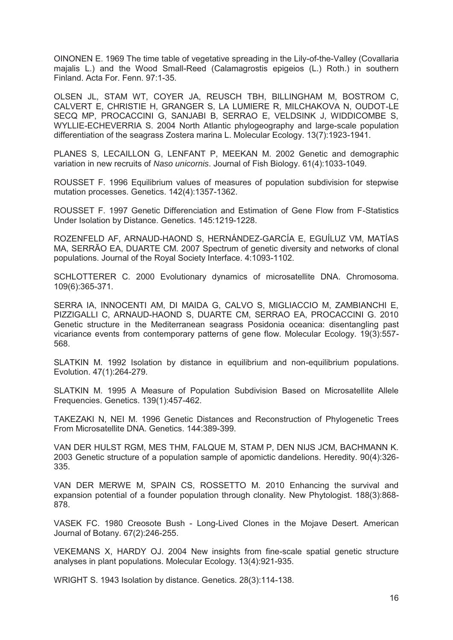OINONEN E. 1969 The time table of vegetative spreading in the Lily-of-the-Valley (Covallaria majalis L.) and the Wood Small-Reed (Calamagrostis epigeios (L.) Roth.) in southern Finland. Acta For. Fenn. 97:1-35.

OLSEN JL, STAM WT, COYER JA, REUSCH TBH, BILLINGHAM M, BOSTROM C, CALVERT E. CHRISTIE H. GRANGER S. LA LUMIERE R. MILCHAKOVA N. OUDOT-LE SECQ MP, PROCACCINI G, SANJABI B, SERRAO E, VELDSINK J, WIDDICOMBE S, WYLLIE-ECHEVERRIA S. 2004 North Atlantic phylogeography and large-scale population differentiation of the seagrass Zostera marina L. Molecular Ecology. 13(7):1923-1941.

PLANES S, LECAILLON G, LENFANT P, MEEKAN M. 2002 Genetic and demographic variation in new recruits of Naso unicornis. Journal of Fish Biology. 61(4):1033-1049.

ROUSSET F. 1996 Equilibrium values of measures of population subdivision for stepwise mutation processes. Genetics. 142(4):1357-1362.

ROUSSET F. 1997 Genetic Differenciation and Estimation of Gene Flow from F-Statistics Under Isolation by Distance. Genetics. 145:1219-1228.

ROZENFELD AF. ARNAUD-HAOND S. HERNÁNDEZ-GARCÍA E. EGUÍLUZ VM. MATÍAS MA, SERRÃO EA, DUARTE CM. 2007 Spectrum of genetic diversity and networks of clonal populations. Journal of the Royal Society Interface. 4:1093-1102.

SCHLOTTERER C. 2000 Evolutionary dynamics of microsatellite DNA. Chromosoma. 109(6):365-371.

SERRA IA. INNOCENTI AM. DI MAIDA G. CALVO S. MIGLIACCIO M. ZAMBIANCHI E. PIZZIGALLI C, ARNAUD-HAOND S, DUARTE CM, SERRAO EA, PROCACCINI G. 2010 Genetic structure in the Mediterranean seagrass Posidonia oceanica: disentangling past vicariance events from contemporary patterns of gene flow. Molecular Ecology. 19(3):557-568.

SLATKIN M. 1992 Isolation by distance in equilibrium and non-equilibrium populations. Evolution. 47(1):264-279.

SLATKIN M. 1995 A Measure of Population Subdivision Based on Microsatellite Allele Frequencies. Genetics. 139(1):457-462.

TAKEZAKI N, NEI M. 1996 Genetic Distances and Reconstruction of Phylogenetic Trees From Microsatellite DNA, Genetics, 144:389-399.

VAN DER HULST RGM, MES THM, FALQUE M, STAM P, DEN NIJS JCM, BACHMANN K, 2003 Genetic structure of a population sample of apomictic dandelions. Heredity. 90(4):326-335.

VAN DER MERWE M, SPAIN CS, ROSSETTO M. 2010 Enhancing the survival and expansion potential of a founder population through clonality. New Phytologist. 188(3):868-878.

VASEK FC. 1980 Creosote Bush - Long-Lived Clones in the Moiave Desert. American Journal of Botany, 67(2):246-255.

VEKEMANS X, HARDY OJ. 2004 New insights from fine-scale spatial genetic structure analyses in plant populations. Molecular Ecology. 13(4):921-935.

WRIGHT S. 1943 Isolation by distance. Genetics. 28(3):114-138.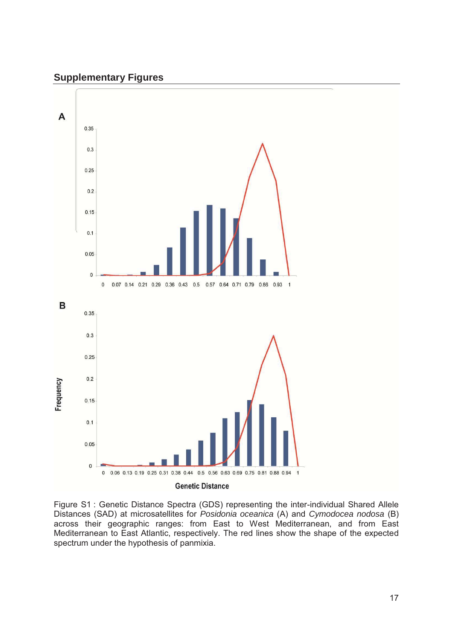# **Supplementary Figures**



<u>Figure S1</u> : Genetic Distance Spectra (GDS) representing the inter-individual Shared Allele<br>Distances (SAD) at microsatellites for *Posidonia oceanica* (A) and *Cymodocea nodosa* (B)  $\ddot{\phantom{0}}$ Figure S1 : Genetic Distance Spectra (GDS) representing the inter-individual Shared Allele<br>Distances (SAD) at microsatellites for *Posidonia oceanica* (A) and *Cymodocea nodosa* (B)<br>across their geographic ranges: from Eas  $\frac{1}{2}$  at merced medicines for Federal and the countries (A) and explored medical (B) across their geographic ranges: from East to West Mediterranean, and from East Mediterranean to Fast Atlantic respectively. The red Mediterranean to East Atlantic, respectively. The red lines show the shape of the expected spectrum under the hypothesis of panmixia.